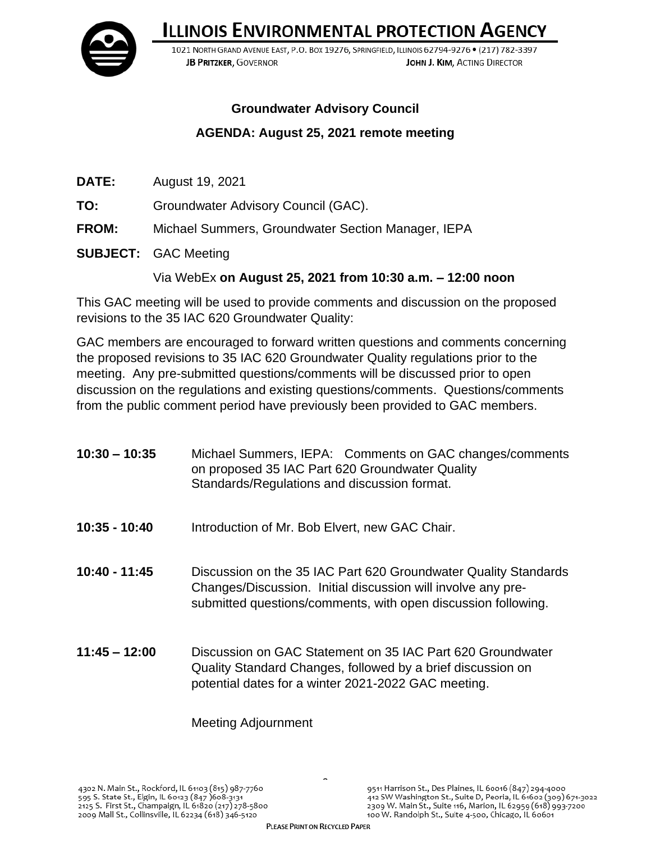**ILLINOIS ENVIRONMENTAL PROTECTION AGENCY** 



1021 NORTH GRAND AVENUE EAST, P.O. BOX 19276, SPRINGFIELD, ILLINOIS 62794-9276 . (217) 782-3397 JOHN J. KIM. ACTING DIRECTOR **JB PRITZKER, GOVERNOR** 

## **Groundwater Advisory Council**

## **AGENDA: August 25, 2021 remote meeting**

- **DATE:** August 19, 2021
- **TO:** Groundwater Advisory Council (GAC).
- **FROM:** Michael Summers, Groundwater Section Manager, IEPA
- **SUBJECT:** GAC Meeting

## Via WebEx **on August 25, 2021 from 10:30 a.m. – 12:00 noon**

This GAC meeting will be used to provide comments and discussion on the proposed revisions to the 35 IAC 620 Groundwater Quality:

GAC members are encouraged to forward written questions and comments concerning the proposed revisions to 35 IAC 620 Groundwater Quality regulations prior to the meeting. Any pre-submitted questions/comments will be discussed prior to open discussion on the regulations and existing questions/comments. Questions/comments from the public comment period have previously been provided to GAC members.

| $10:30 - 10:35$ | Michael Summers, IEPA: Comments on GAC changes/comments<br>on proposed 35 IAC Part 620 Groundwater Quality<br>Standards/Regulations and discussion format.                                       |
|-----------------|--------------------------------------------------------------------------------------------------------------------------------------------------------------------------------------------------|
| 10:35 - 10:40   | Introduction of Mr. Bob Elvert, new GAC Chair.                                                                                                                                                   |
| $10:40 - 11:45$ | Discussion on the 35 IAC Part 620 Groundwater Quality Standards<br>Changes/Discussion. Initial discussion will involve any pre-<br>submitted questions/comments, with open discussion following. |
| $11:45 - 12:00$ | Discussion on GAC Statement on 35 IAC Part 620 Groundwater<br>Quality Standard Changes, followed by a brief discussion on<br>potential dates for a winter 2021-2022 GAC meeting.                 |

Meeting Adjournment

 $\tilde{a}$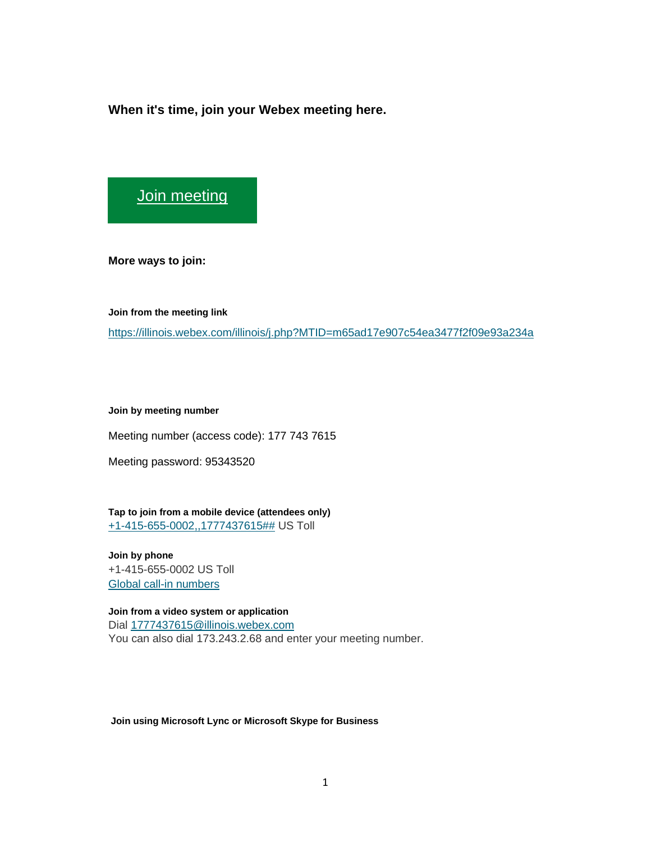**When it's time, join your Webex meeting here.** 

[Join meeting](https://illinois.webex.com/illinois/j.php?MTID=m65ad17e907c54ea3477f2f09e93a234a)

**More ways to join:** 

**Join from the meeting link** 

<https://illinois.webex.com/illinois/j.php?MTID=m65ad17e907c54ea3477f2f09e93a234a>

**Join by meeting number** 

Meeting number (access code): 177 743 7615

Meeting password: 95343520

**Tap to join from a mobile device (attendees only)** [+1-415-655-0002,,1777437615##](tel:%2B1-415-655-0002,,*01*1777437615%23%23*01*) US Toll

**Join by phone** +1-415-655-0002 US Toll [Global call-in numbers](https://illinois.webex.com/illinois/globalcallin.php?MTID=m582d12321b286af278f65e603a7386a1)

**Join from a video system or application** Dial [1777437615@illinois.webex.com](sip:1777437615@illinois.webex.com) You can also dial 173.243.2.68 and enter your meeting number.

**Join using Microsoft Lync or Microsoft Skype for Business**